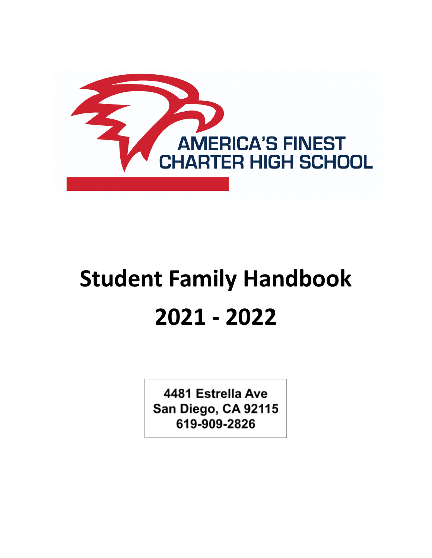

# **Student Family Handbook 2021 - 2022**

4481 Estrella Ave San Diego, CA 92115 619-909-2826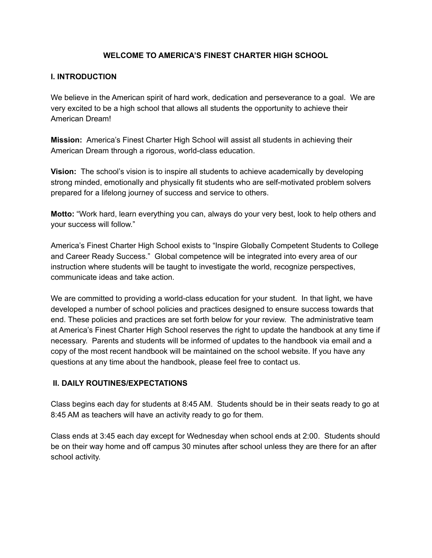#### **WELCOME TO AMERICA'S FINEST CHARTER HIGH SCHOOL**

#### **I. INTRODUCTION**

We believe in the American spirit of hard work, dedication and perseverance to a goal. We are very excited to be a high school that allows all students the opportunity to achieve their American Dream!

**Mission:** America's Finest Charter High School will assist all students in achieving their American Dream through a rigorous, world-class education.

**Vision:** The school's vision is to inspire all students to achieve academically by developing strong minded, emotionally and physically fit students who are self-motivated problem solvers prepared for a lifelong journey of success and service to others.

**Motto:** "Work hard, learn everything you can, always do your very best, look to help others and your success will follow."

America's Finest Charter High School exists to "Inspire Globally Competent Students to College and Career Ready Success." Global competence will be integrated into every area of our instruction where students will be taught to investigate the world, recognize perspectives, communicate ideas and take action.

We are committed to providing a world-class education for your student. In that light, we have developed a number of school policies and practices designed to ensure success towards that end. These policies and practices are set forth below for your review. The administrative team at America's Finest Charter High School reserves the right to update the handbook at any time if necessary. Parents and students will be informed of updates to the handbook via email and a copy of the most recent handbook will be maintained on the school website. If you have any questions at any time about the handbook, please feel free to contact us.

#### **II. DAILY ROUTINES/EXPECTATIONS**

Class begins each day for students at 8:45 AM. Students should be in their seats ready to go at 8:45 AM as teachers will have an activity ready to go for them.

Class ends at 3:45 each day except for Wednesday when school ends at 2:00. Students should be on their way home and off campus 30 minutes after school unless they are there for an after school activity.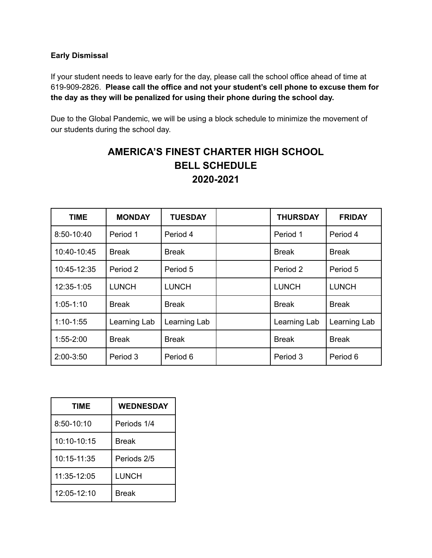#### **Early Dismissal**

If your student needs to leave early for the day, please call the school office ahead of time at 619-909-2826. **Please call the office and not your student's cell phone to excuse them for the day as they will be penalized for using their phone during the school day.**

Due to the Global Pandemic, we will be using a block schedule to minimize the movement of our students during the school day.

## **AMERICA'S FINEST CHARTER HIGH SCHOOL BELL SCHEDULE 2020-2021**

| <b>TIME</b>   | <b>MONDAY</b> | <b>TUESDAY</b> | <b>THURSDAY</b> | <b>FRIDAY</b> |
|---------------|---------------|----------------|-----------------|---------------|
| 8:50-10:40    | Period 1      | Period 4       | Period 1        | Period 4      |
| 10:40-10:45   | <b>Break</b>  | <b>Break</b>   | <b>Break</b>    | <b>Break</b>  |
| 10:45-12:35   | Period 2      | Period 5       | Period 2        | Period 5      |
| 12:35-1:05    | <b>LUNCH</b>  | <b>LUNCH</b>   | <b>LUNCH</b>    | <b>LUNCH</b>  |
| $1:05-1:10$   | <b>Break</b>  | <b>Break</b>   | <b>Break</b>    | <b>Break</b>  |
| $1:10-1:55$   | Learning Lab  | Learning Lab   | Learning Lab    | Learning Lab  |
| $1:55 - 2:00$ | <b>Break</b>  | <b>Break</b>   | <b>Break</b>    | <b>Break</b>  |
| $2:00-3:50$   | Period 3      | Period 6       | Period 3        | Period 6      |

| <b>TIME</b>   | <b>WEDNESDAY</b> |
|---------------|------------------|
| 8:50-10:10    | Periods 1/4      |
| $10:10-10:15$ | <b>Break</b>     |
| 10:15-11:35   | Periods 2/5      |
| 11:35-12:05   | <b>LUNCH</b>     |
| 12:05-12:10   | <b>Break</b>     |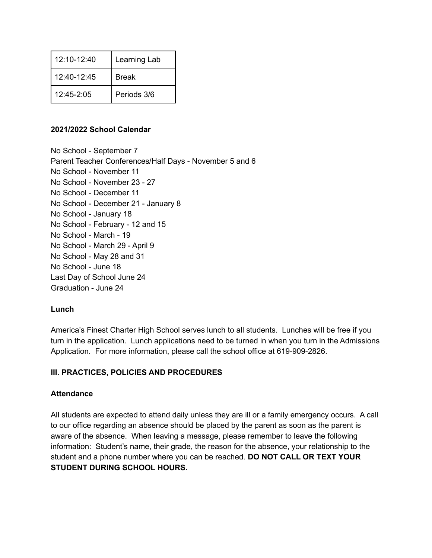| $12.10 - 12.40$ | Learning Lab |  |
|-----------------|--------------|--|
| $12.40 - 12.45$ | <b>Break</b> |  |
| $12.45 - 2.05$  | Periods 3/6  |  |

#### **2021/2022 School Calendar**

No School - September 7 Parent Teacher Conferences/Half Days - November 5 and 6 No School - November 11 No School - November 23 - 27 No School - December 11 No School - December 21 - January 8 No School - January 18 No School - February - 12 and 15 No School - March - 19 No School - March 29 - April 9 No School - May 28 and 31 No School - June 18 Last Day of School June 24 Graduation - June 24

#### **Lunch**

America's Finest Charter High School serves lunch to all students. Lunches will be free if you turn in the application. Lunch applications need to be turned in when you turn in the Admissions Application. For more information, please call the school office at 619-909-2826.

#### **III. PRACTICES, POLICIES AND PROCEDURES**

#### **Attendance**

All students are expected to attend daily unless they are ill or a family emergency occurs. A call to our office regarding an absence should be placed by the parent as soon as the parent is aware of the absence. When leaving a message, please remember to leave the following information: Student's name, their grade, the reason for the absence, your relationship to the student and a phone number where you can be reached. **DO NOT CALL OR TEXT YOUR STUDENT DURING SCHOOL HOURS.**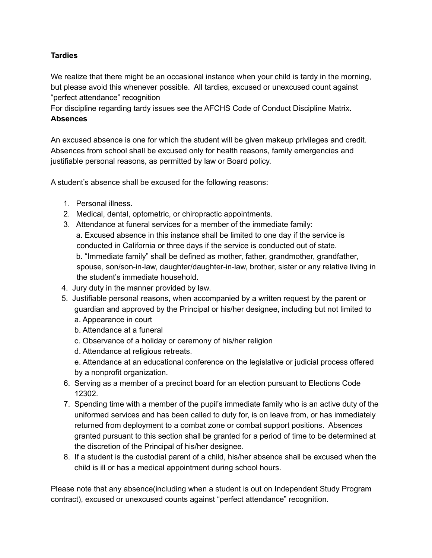#### **Tardies**

We realize that there might be an occasional instance when your child is tardy in the morning, but please avoid this whenever possible. All tardies, excused or unexcused count against "perfect attendance" recognition

For discipline regarding tardy issues see the AFCHS Code of Conduct Discipline Matrix. **Absences**

An excused absence is one for which the student will be given makeup privileges and credit. Absences from school shall be excused only for health reasons, family emergencies and justifiable personal reasons, as permitted by law or Board policy.

A student's absence shall be excused for the following reasons:

- 1. Personal illness.
- 2. Medical, dental, optometric, or chiropractic appointments.
- 3. Attendance at funeral services for a member of the immediate family: a. Excused absence in this instance shall be limited to one day if the service is conducted in California or three days if the service is conducted out of state. b. "Immediate family" shall be defined as mother, father, grandmother, grandfather, spouse, son/son-in-law, daughter/daughter-in-law, brother, sister or any relative living in the student's immediate household.
- 4. Jury duty in the manner provided by law.
- 5. Justifiable personal reasons, when accompanied by a written request by the parent or guardian and approved by the Principal or his/her designee, including but not limited to
	- a. Appearance in court
	- b. Attendance at a funeral
	- c. Observance of a holiday or ceremony of his/her religion
	- d. Attendance at religious retreats.

e. Attendance at an educational conference on the legislative or judicial process offered by a nonprofit organization.

- 6. Serving as a member of a precinct board for an election pursuant to Elections Code 12302.
- 7. Spending time with a member of the pupil's immediate family who is an active duty of the uniformed services and has been called to duty for, is on leave from, or has immediately returned from deployment to a combat zone or combat support positions. Absences granted pursuant to this section shall be granted for a period of time to be determined at the discretion of the Principal of his/her designee.
- 8. If a student is the custodial parent of a child, his/her absence shall be excused when the child is ill or has a medical appointment during school hours.

Please note that any absence(including when a student is out on Independent Study Program contract), excused or unexcused counts against "perfect attendance" recognition.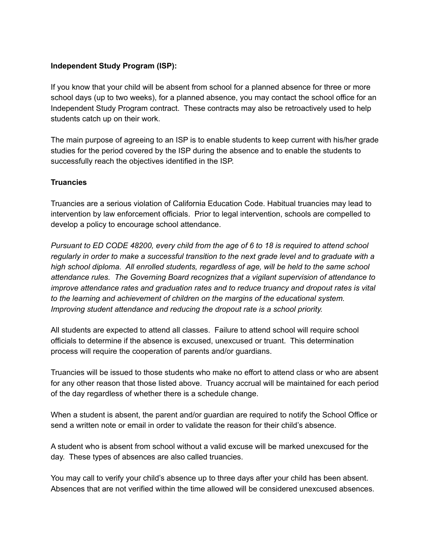#### **Independent Study Program (ISP):**

If you know that your child will be absent from school for a planned absence for three or more school days (up to two weeks), for a planned absence, you may contact the school office for an Independent Study Program contract. These contracts may also be retroactively used to help students catch up on their work.

The main purpose of agreeing to an ISP is to enable students to keep current with his/her grade studies for the period covered by the ISP during the absence and to enable the students to successfully reach the objectives identified in the ISP.

#### **Truancies**

Truancies are a serious violation of California Education Code. Habitual truancies may lead to intervention by law enforcement officials. Prior to legal intervention, schools are compelled to develop a policy to encourage school attendance.

*Pursuant to ED CODE 48200, every child from the age of 6 to 18 is required to attend school regularly in order to make a successful transition to the next grade level and to graduate with a high school diploma. All enrolled students, regardless of age, will be held to the same school attendance rules. The Governing Board recognizes that a vigilant supervision of attendance to improve attendance rates and graduation rates and to reduce truancy and dropout rates is vital to the learning and achievement of children on the margins of the educational system. Improving student attendance and reducing the dropout rate is a school priority.*

All students are expected to attend all classes. Failure to attend school will require school officials to determine if the absence is excused, unexcused or truant. This determination process will require the cooperation of parents and/or guardians.

Truancies will be issued to those students who make no effort to attend class or who are absent for any other reason that those listed above. Truancy accrual will be maintained for each period of the day regardless of whether there is a schedule change.

When a student is absent, the parent and/or guardian are required to notify the School Office or send a written note or email in order to validate the reason for their child's absence.

A student who is absent from school without a valid excuse will be marked unexcused for the day. These types of absences are also called truancies.

You may call to verify your child's absence up to three days after your child has been absent. Absences that are not verified within the time allowed will be considered unexcused absences.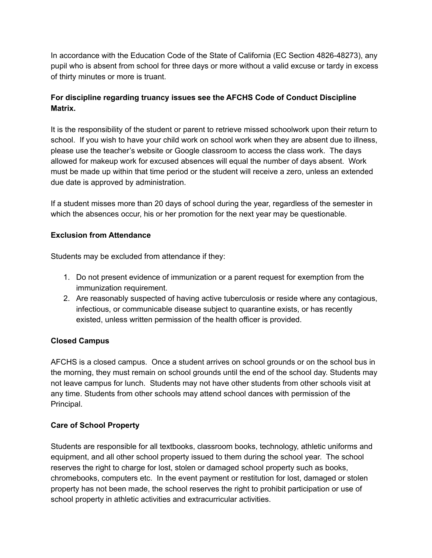In accordance with the Education Code of the State of California (EC Section 4826-48273), any pupil who is absent from school for three days or more without a valid excuse or tardy in excess of thirty minutes or more is truant.

### **For discipline regarding truancy issues see the AFCHS Code of Conduct Discipline Matrix.**

It is the responsibility of the student or parent to retrieve missed schoolwork upon their return to school. If you wish to have your child work on school work when they are absent due to illness, please use the teacher's website or Google classroom to access the class work. The days allowed for makeup work for excused absences will equal the number of days absent. Work must be made up within that time period or the student will receive a zero, unless an extended due date is approved by administration.

If a student misses more than 20 days of school during the year, regardless of the semester in which the absences occur, his or her promotion for the next year may be questionable.

#### **Exclusion from Attendance**

Students may be excluded from attendance if they:

- 1. Do not present evidence of immunization or a parent request for exemption from the immunization requirement.
- 2. Are reasonably suspected of having active tuberculosis or reside where any contagious, infectious, or communicable disease subject to quarantine exists, or has recently existed, unless written permission of the health officer is provided.

#### **Closed Campus**

AFCHS is a closed campus. Once a student arrives on school grounds or on the school bus in the morning, they must remain on school grounds until the end of the school day. Students may not leave campus for lunch. Students may not have other students from other schools visit at any time. Students from other schools may attend school dances with permission of the Principal.

#### **Care of School Property**

Students are responsible for all textbooks, classroom books, technology, athletic uniforms and equipment, and all other school property issued to them during the school year. The school reserves the right to charge for lost, stolen or damaged school property such as books, chromebooks, computers etc. In the event payment or restitution for lost, damaged or stolen property has not been made, the school reserves the right to prohibit participation or use of school property in athletic activities and extracurricular activities.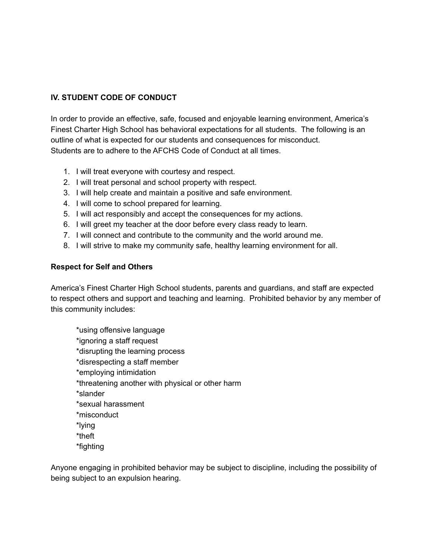### **IV. STUDENT CODE OF CONDUCT**

In order to provide an effective, safe, focused and enjoyable learning environment, America's Finest Charter High School has behavioral expectations for all students. The following is an outline of what is expected for our students and consequences for misconduct. Students are to adhere to the AFCHS Code of Conduct at all times.

- 1. I will treat everyone with courtesy and respect.
- 2. I will treat personal and school property with respect.
- 3. I will help create and maintain a positive and safe environment.
- 4. I will come to school prepared for learning.
- 5. I will act responsibly and accept the consequences for my actions.
- 6. I will greet my teacher at the door before every class ready to learn.
- 7. I will connect and contribute to the community and the world around me.
- 8. I will strive to make my community safe, healthy learning environment for all.

#### **Respect for Self and Others**

America's Finest Charter High School students, parents and guardians, and staff are expected to respect others and support and teaching and learning. Prohibited behavior by any member of this community includes:

\*using offensive language \*ignoring a staff request \*disrupting the learning process \*disrespecting a staff member \*employing intimidation \*threatening another with physical or other harm \*slander \*sexual harassment \*misconduct \*lying \*theft \*fighting

Anyone engaging in prohibited behavior may be subject to discipline, including the possibility of being subject to an expulsion hearing.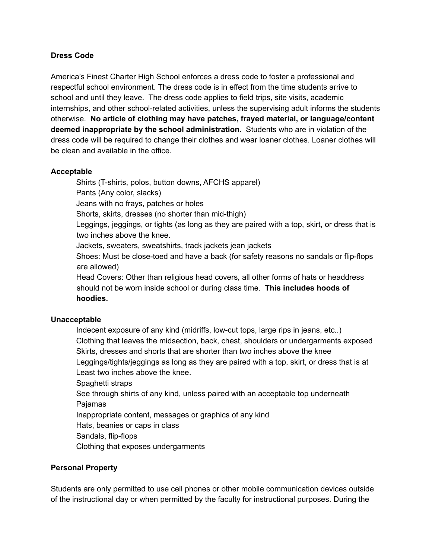#### **Dress Code**

America's Finest Charter High School enforces a dress code to foster a professional and respectful school environment. The dress code is in effect from the time students arrive to school and until they leave. The dress code applies to field trips, site visits, academic internships, and other school-related activities, unless the supervising adult informs the students otherwise. **No article of clothing may have patches, frayed material, or language/content deemed inappropriate by the school administration.** Students who are in violation of the dress code will be required to change their clothes and wear loaner clothes. Loaner clothes will be clean and available in the office.

#### **Acceptable**

Shirts (T-shirts, polos, button downs, AFCHS apparel)

Pants (Any color, slacks)

Jeans with no frays, patches or holes

Shorts, skirts, dresses (no shorter than mid-thigh)

Leggings, jeggings, or tights (as long as they are paired with a top, skirt, or dress that is two inches above the knee.

Jackets, sweaters, sweatshirts, track jackets jean jackets

Shoes: Must be close-toed and have a back (for safety reasons no sandals or flip-flops are allowed)

Head Covers: Other than religious head covers, all other forms of hats or headdress should not be worn inside school or during class time. **This includes hoods of hoodies.**

#### **Unacceptable**

Indecent exposure of any kind (midriffs, low-cut tops, large rips in jeans, etc..) Clothing that leaves the midsection, back, chest, shoulders or undergarments exposed Skirts, dresses and shorts that are shorter than two inches above the knee Leggings/tights/jeggings as long as they are paired with a top, skirt, or dress that is at Least two inches above the knee.

Spaghetti straps

See through shirts of any kind, unless paired with an acceptable top underneath Pajamas

Inappropriate content, messages or graphics of any kind

Hats, beanies or caps in class

Sandals, flip-flops

Clothing that exposes undergarments

#### **Personal Property**

Students are only permitted to use cell phones or other mobile communication devices outside of the instructional day or when permitted by the faculty for instructional purposes. During the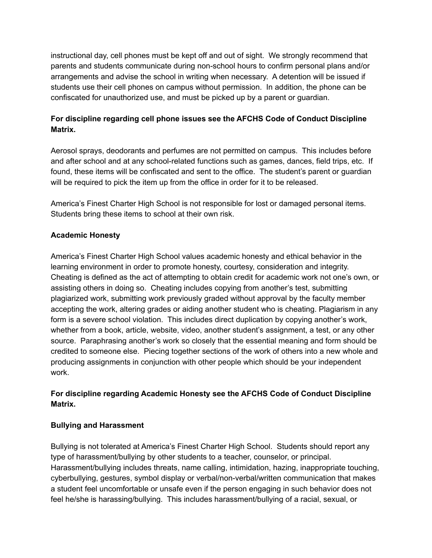instructional day, cell phones must be kept off and out of sight. We strongly recommend that parents and students communicate during non-school hours to confirm personal plans and/or arrangements and advise the school in writing when necessary. A detention will be issued if students use their cell phones on campus without permission. In addition, the phone can be confiscated for unauthorized use, and must be picked up by a parent or guardian.

### **For discipline regarding cell phone issues see the AFCHS Code of Conduct Discipline Matrix.**

Aerosol sprays, deodorants and perfumes are not permitted on campus. This includes before and after school and at any school-related functions such as games, dances, field trips, etc. If found, these items will be confiscated and sent to the office. The student's parent or guardian will be required to pick the item up from the office in order for it to be released.

America's Finest Charter High School is not responsible for lost or damaged personal items. Students bring these items to school at their own risk.

#### **Academic Honesty**

America's Finest Charter High School values academic honesty and ethical behavior in the learning environment in order to promote honesty, courtesy, consideration and integrity. Cheating is defined as the act of attempting to obtain credit for academic work not one's own, or assisting others in doing so. Cheating includes copying from another's test, submitting plagiarized work, submitting work previously graded without approval by the faculty member accepting the work, altering grades or aiding another student who is cheating. Plagiarism in any form is a severe school violation. This includes direct duplication by copying another's work, whether from a book, article, website, video, another student's assignment, a test, or any other source. Paraphrasing another's work so closely that the essential meaning and form should be credited to someone else. Piecing together sections of the work of others into a new whole and producing assignments in conjunction with other people which should be your independent work.

#### **For discipline regarding Academic Honesty see the AFCHS Code of Conduct Discipline Matrix.**

#### **Bullying and Harassment**

Bullying is not tolerated at America's Finest Charter High School. Students should report any type of harassment/bullying by other students to a teacher, counselor, or principal. Harassment/bullying includes threats, name calling, intimidation, hazing, inappropriate touching, cyberbullying, gestures, symbol display or verbal/non-verbal/written communication that makes a student feel uncomfortable or unsafe even if the person engaging in such behavior does not feel he/she is harassing/bullying. This includes harassment/bullying of a racial, sexual, or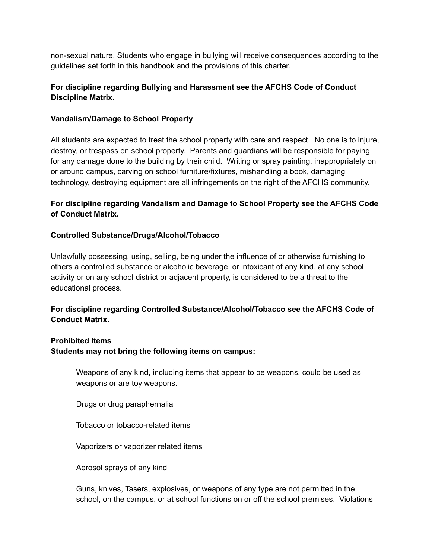non-sexual nature. Students who engage in bullying will receive consequences according to the guidelines set forth in this handbook and the provisions of this charter.

#### **For discipline regarding Bullying and Harassment see the AFCHS Code of Conduct Discipline Matrix.**

#### **Vandalism/Damage to School Property**

All students are expected to treat the school property with care and respect. No one is to injure, destroy, or trespass on school property. Parents and guardians will be responsible for paying for any damage done to the building by their child. Writing or spray painting, inappropriately on or around campus, carving on school furniture/fixtures, mishandling a book, damaging technology, destroying equipment are all infringements on the right of the AFCHS community.

#### **For discipline regarding Vandalism and Damage to School Property see the AFCHS Code of Conduct Matrix.**

#### **Controlled Substance/Drugs/Alcohol/Tobacco**

Unlawfully possessing, using, selling, being under the influence of or otherwise furnishing to others a controlled substance or alcoholic beverage, or intoxicant of any kind, at any school activity or on any school district or adjacent property, is considered to be a threat to the educational process.

#### **For discipline regarding Controlled Substance/Alcohol/Tobacco see the AFCHS Code of Conduct Matrix.**

#### **Prohibited Items**

**Students may not bring the following items on campus:**

Weapons of any kind, including items that appear to be weapons, could be used as weapons or are toy weapons.

Drugs or drug paraphernalia

Tobacco or tobacco-related items

Vaporizers or vaporizer related items

Aerosol sprays of any kind

Guns, knives, Tasers, explosives, or weapons of any type are not permitted in the school, on the campus, or at school functions on or off the school premises. Violations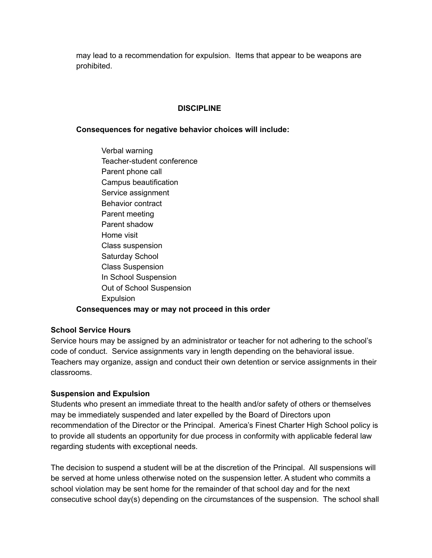may lead to a recommendation for expulsion. Items that appear to be weapons are prohibited.

#### **DISCIPLINE**

#### **Consequences for negative behavior choices will include:**

Verbal warning Teacher-student conference Parent phone call Campus beautification Service assignment Behavior contract Parent meeting Parent shadow Home visit Class suspension Saturday School Class Suspension In School Suspension Out of School Suspension **Expulsion Consequences may or may not proceed in this order**

#### **School Service Hours**

Service hours may be assigned by an administrator or teacher for not adhering to the school's code of conduct. Service assignments vary in length depending on the behavioral issue. Teachers may organize, assign and conduct their own detention or service assignments in their classrooms.

#### **Suspension and Expulsion**

Students who present an immediate threat to the health and/or safety of others or themselves may be immediately suspended and later expelled by the Board of Directors upon recommendation of the Director or the Principal. America's Finest Charter High School policy is to provide all students an opportunity for due process in conformity with applicable federal law regarding students with exceptional needs.

The decision to suspend a student will be at the discretion of the Principal. All suspensions will be served at home unless otherwise noted on the suspension letter. A student who commits a school violation may be sent home for the remainder of that school day and for the next consecutive school day(s) depending on the circumstances of the suspension. The school shall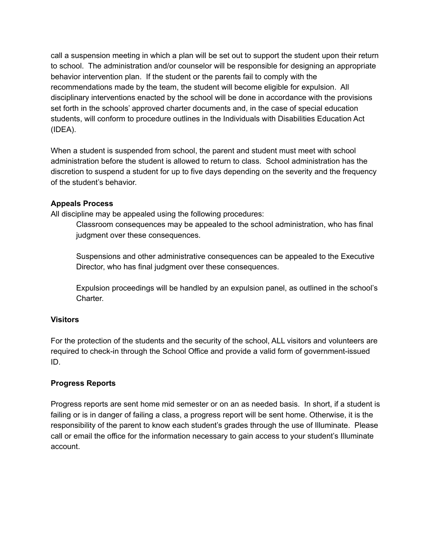call a suspension meeting in which a plan will be set out to support the student upon their return to school. The administration and/or counselor will be responsible for designing an appropriate behavior intervention plan. If the student or the parents fail to comply with the recommendations made by the team, the student will become eligible for expulsion. All disciplinary interventions enacted by the school will be done in accordance with the provisions set forth in the schools' approved charter documents and, in the case of special education students, will conform to procedure outlines in the Individuals with Disabilities Education Act (IDEA).

When a student is suspended from school, the parent and student must meet with school administration before the student is allowed to return to class. School administration has the discretion to suspend a student for up to five days depending on the severity and the frequency of the student's behavior.

#### **Appeals Process**

All discipline may be appealed using the following procedures:

Classroom consequences may be appealed to the school administration, who has final judgment over these consequences.

Suspensions and other administrative consequences can be appealed to the Executive Director, who has final judgment over these consequences.

Expulsion proceedings will be handled by an expulsion panel, as outlined in the school's Charter.

#### **Visitors**

For the protection of the students and the security of the school, ALL visitors and volunteers are required to check-in through the School Office and provide a valid form of government-issued ID.

#### **Progress Reports**

Progress reports are sent home mid semester or on an as needed basis. In short, if a student is failing or is in danger of failing a class, a progress report will be sent home. Otherwise, it is the responsibility of the parent to know each student's grades through the use of Illuminate. Please call or email the office for the information necessary to gain access to your student's Illuminate account.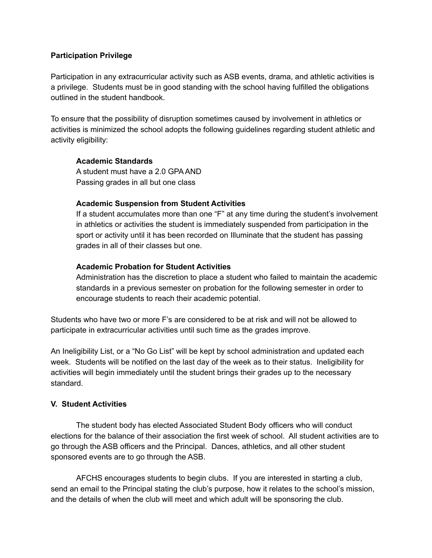#### **Participation Privilege**

Participation in any extracurricular activity such as ASB events, drama, and athletic activities is a privilege. Students must be in good standing with the school having fulfilled the obligations outlined in the student handbook.

To ensure that the possibility of disruption sometimes caused by involvement in athletics or activities is minimized the school adopts the following guidelines regarding student athletic and activity eligibility:

#### **Academic Standards**

A student must have a 2.0 GPA AND Passing grades in all but one class

#### **Academic Suspension from Student Activities**

If a student accumulates more than one "F" at any time during the student's involvement in athletics or activities the student is immediately suspended from participation in the sport or activity until it has been recorded on Illuminate that the student has passing grades in all of their classes but one.

#### **Academic Probation for Student Activities**

Administration has the discretion to place a student who failed to maintain the academic standards in a previous semester on probation for the following semester in order to encourage students to reach their academic potential.

Students who have two or more F's are considered to be at risk and will not be allowed to participate in extracurricular activities until such time as the grades improve.

An Ineligibility List, or a "No Go List" will be kept by school administration and updated each week. Students will be notified on the last day of the week as to their status. Ineligibility for activities will begin immediately until the student brings their grades up to the necessary standard.

#### **V. Student Activities**

The student body has elected Associated Student Body officers who will conduct elections for the balance of their association the first week of school. All student activities are to go through the ASB officers and the Principal. Dances, athletics, and all other student sponsored events are to go through the ASB.

AFCHS encourages students to begin clubs. If you are interested in starting a club, send an email to the Principal stating the club's purpose, how it relates to the school's mission, and the details of when the club will meet and which adult will be sponsoring the club.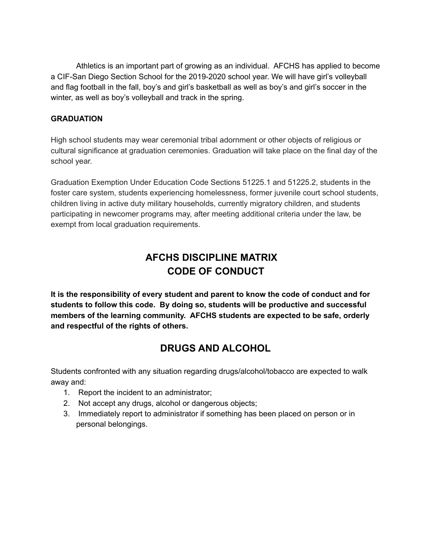Athletics is an important part of growing as an individual. AFCHS has applied to become a CIF-San Diego Section School for the 2019-2020 school year. We will have girl's volleyball and flag football in the fall, boy's and girl's basketball as well as boy's and girl's soccer in the winter, as well as boy's volleyball and track in the spring.

#### **GRADUATION**

High school students may wear ceremonial tribal adornment or other objects of religious or cultural significance at graduation ceremonies. Graduation will take place on the final day of the school year.

Graduation Exemption Under Education Code Sections 51225.1 and 51225.2, students in the foster care system, students experiencing homelessness, former juvenile court school students, children living in active duty military households, currently migratory children, and students participating in newcomer programs may, after meeting additional criteria under the law, be exempt from local graduation requirements.

## **AFCHS DISCIPLINE MATRIX CODE OF CONDUCT**

**It is the responsibility of every student and parent to know the code of conduct and for students to follow this code. By doing so, students will be productive and successful members of the learning community. AFCHS students are expected to be safe, orderly and respectful of the rights of others.**

## **DRUGS AND ALCOHOL**

Students confronted with any situation regarding drugs/alcohol/tobacco are expected to walk away and:

- 1. Report the incident to an administrator;
- 2. Not accept any drugs, alcohol or dangerous objects;
- 3. Immediately report to administrator if something has been placed on person or in personal belongings.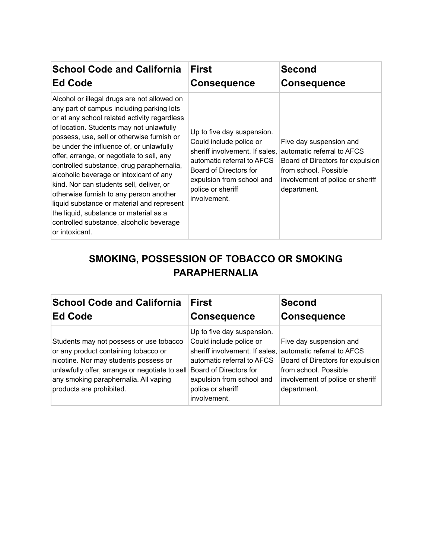| <b>School Code and California</b>                                                                                                                                                                                                                                                                                                                                                                                                                                                                                                                                                                                                                                | <b>First</b>                                                                                                                                                                                                      | <b>Second</b>                                                                                                                                                         |
|------------------------------------------------------------------------------------------------------------------------------------------------------------------------------------------------------------------------------------------------------------------------------------------------------------------------------------------------------------------------------------------------------------------------------------------------------------------------------------------------------------------------------------------------------------------------------------------------------------------------------------------------------------------|-------------------------------------------------------------------------------------------------------------------------------------------------------------------------------------------------------------------|-----------------------------------------------------------------------------------------------------------------------------------------------------------------------|
| <b>Ed Code</b>                                                                                                                                                                                                                                                                                                                                                                                                                                                                                                                                                                                                                                                   | <b>Consequence</b>                                                                                                                                                                                                | <b>Consequence</b>                                                                                                                                                    |
| Alcohol or illegal drugs are not allowed on<br>any part of campus including parking lots<br>or at any school related activity regardless<br>of location. Students may not unlawfully<br>possess, use, sell or otherwise furnish or<br>be under the influence of, or unlawfully<br>offer, arrange, or negotiate to sell, any<br>controlled substance, drug paraphernalia,<br>alcoholic beverage or intoxicant of any<br>kind. Nor can students sell, deliver, or<br>otherwise furnish to any person another<br>liquid substance or material and represent<br>the liquid, substance or material as a<br>controlled substance, alcoholic beverage<br>or intoxicant. | Up to five day suspension.<br>Could include police or<br>sheriff involvement. If sales,<br>automatic referral to AFCS<br>Board of Directors for<br>expulsion from school and<br>police or sheriff<br>involvement. | Five day suspension and<br>automatic referral to AFCS<br>Board of Directors for expulsion<br>from school. Possible<br>involvement of police or sheriff<br>department. |

## **SMOKING, POSSESSION OF TOBACCO OR SMOKING PARAPHERNALIA**

| <b>School Code and California</b>                                                                                                                                                                                                               | <b>First</b>                                                                                                                                                                                                      | <b>Second</b>                                                                                                                                                         |
|-------------------------------------------------------------------------------------------------------------------------------------------------------------------------------------------------------------------------------------------------|-------------------------------------------------------------------------------------------------------------------------------------------------------------------------------------------------------------------|-----------------------------------------------------------------------------------------------------------------------------------------------------------------------|
| <b>Ed Code</b>                                                                                                                                                                                                                                  | <b>Consequence</b>                                                                                                                                                                                                | <b>Consequence</b>                                                                                                                                                    |
| Students may not possess or use tobacco<br>or any product containing tobacco or<br>nicotine. Nor may students possess or<br>unlawfully offer, arrange or negotiate to sell<br>any smoking paraphernalia. All vaping<br>products are prohibited. | Up to five day suspension.<br>Could include police or<br>sheriff involvement. If sales,<br>automatic referral to AFCS<br>Board of Directors for<br>expulsion from school and<br>police or sheriff<br>involvement. | Five day suspension and<br>automatic referral to AFCS<br>Board of Directors for expulsion<br>from school. Possible<br>involvement of police or sheriff<br>department. |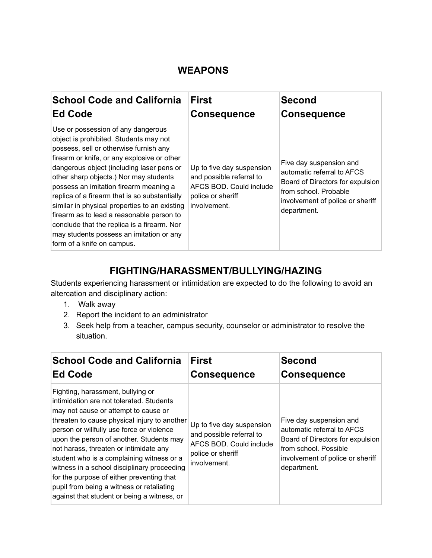## **WEAPONS**

| <b>School Code and California</b>                                                                                                                                                                                                                                                                                                                                                                                                                                                                                                                                              | <b>First</b>                                                                                                          | <b>Second</b>                                                                                                                                                         |
|--------------------------------------------------------------------------------------------------------------------------------------------------------------------------------------------------------------------------------------------------------------------------------------------------------------------------------------------------------------------------------------------------------------------------------------------------------------------------------------------------------------------------------------------------------------------------------|-----------------------------------------------------------------------------------------------------------------------|-----------------------------------------------------------------------------------------------------------------------------------------------------------------------|
| <b>Ed Code</b>                                                                                                                                                                                                                                                                                                                                                                                                                                                                                                                                                                 | <b>Consequence</b>                                                                                                    | <b>Consequence</b>                                                                                                                                                    |
| Use or possession of any dangerous<br>object is prohibited. Students may not<br>possess, sell or otherwise furnish any<br>firearm or knife, or any explosive or other<br>dangerous object (including laser pens or<br>other sharp objects.) Nor may students<br>possess an imitation firearm meaning a<br>replica of a firearm that is so substantially<br>similar in physical properties to an existing<br>firearm as to lead a reasonable person to<br>conclude that the replica is a firearm. Nor<br>may students possess an imitation or any<br>form of a knife on campus. | Up to five day suspension<br>and possible referral to<br>AFCS BOD. Could include<br>police or sheriff<br>involvement. | Five day suspension and<br>automatic referral to AFCS<br>Board of Directors for expulsion<br>from school. Probable<br>involvement of police or sheriff<br>department. |

## **FIGHTING/HARASSMENT/BULLYING/HAZING**

Students experiencing harassment or intimidation are expected to do the following to avoid an altercation and disciplinary action:

- 1. Walk away
- 2. Report the incident to an administrator
- 3. Seek help from a teacher, campus security, counselor or administrator to resolve the situation.

| <b>School Code and California</b>                                                                                                                                                                                                                                                                                                                                                                                                                                                                                                             | <b>First</b>                                                                                                          | <b>Second</b>                                                                                                                                                         |
|-----------------------------------------------------------------------------------------------------------------------------------------------------------------------------------------------------------------------------------------------------------------------------------------------------------------------------------------------------------------------------------------------------------------------------------------------------------------------------------------------------------------------------------------------|-----------------------------------------------------------------------------------------------------------------------|-----------------------------------------------------------------------------------------------------------------------------------------------------------------------|
| <b>Ed Code</b>                                                                                                                                                                                                                                                                                                                                                                                                                                                                                                                                | <b>Consequence</b>                                                                                                    | <b>Consequence</b>                                                                                                                                                    |
| Fighting, harassment, bullying or<br>intimidation are not tolerated. Students<br>may not cause or attempt to cause or<br>threaten to cause physical injury to another<br>person or willfully use force or violence<br>upon the person of another. Students may<br>not harass, threaten or intimidate any<br>student who is a complaining witness or a<br>witness in a school disciplinary proceeding<br>for the purpose of either preventing that<br>pupil from being a witness or retaliating<br>against that student or being a witness, or | Up to five day suspension<br>and possible referral to<br>AFCS BOD. Could include<br>police or sheriff<br>involvement. | Five day suspension and<br>automatic referral to AFCS<br>Board of Directors for expulsion<br>from school. Possible<br>involvement of police or sheriff<br>department. |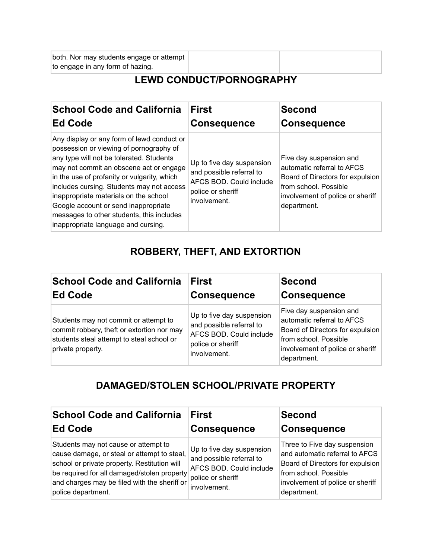both. Nor may students engage or attempt to engage in any form of hazing.

## **LEWD CONDUCT/PORNOGRAPHY**

| <b>School Code and California</b>                                                                                                                                                                                                                                                                                                                                                                                                             | <b>First</b>                                                                                                          | <b>Second</b>                                                                                                                                                         |
|-----------------------------------------------------------------------------------------------------------------------------------------------------------------------------------------------------------------------------------------------------------------------------------------------------------------------------------------------------------------------------------------------------------------------------------------------|-----------------------------------------------------------------------------------------------------------------------|-----------------------------------------------------------------------------------------------------------------------------------------------------------------------|
| <b>Ed Code</b>                                                                                                                                                                                                                                                                                                                                                                                                                                | <b>Consequence</b>                                                                                                    | <b>Consequence</b>                                                                                                                                                    |
| Any display or any form of lewd conduct or<br>possession or viewing of pornography of<br>any type will not be tolerated. Students<br>may not commit an obscene act or engage<br>in the use of profanity or vulgarity, which<br>includes cursing. Students may not access<br>inappropriate materials on the school<br>Google account or send inappropriate<br>messages to other students, this includes<br>inappropriate language and cursing. | Up to five day suspension<br>and possible referral to<br>AFCS BOD, Could include<br>police or sheriff<br>involvement. | Five day suspension and<br>automatic referral to AFCS<br>Board of Directors for expulsion<br>from school. Possible<br>involvement of police or sheriff<br>department. |

## **ROBBERY, THEFT, AND EXTORTION**

| <b>School Code and California</b>                                                                                                                     | <b>First</b>                                                                                                          | Second                                                                                                                                                                |
|-------------------------------------------------------------------------------------------------------------------------------------------------------|-----------------------------------------------------------------------------------------------------------------------|-----------------------------------------------------------------------------------------------------------------------------------------------------------------------|
| <b>Ed Code</b>                                                                                                                                        | <b>Consequence</b>                                                                                                    | <b>Consequence</b>                                                                                                                                                    |
| Students may not commit or attempt to<br>commit robbery, theft or extortion nor may<br>students steal attempt to steal school or<br>private property. | Up to five day suspension<br>and possible referral to<br>AFCS BOD. Could include<br>police or sheriff<br>involvement. | Five day suspension and<br>automatic referral to AFCS<br>Board of Directors for expulsion<br>from school. Possible<br>involvement of police or sheriff<br>department. |

## **DAMAGED/STOLEN SCHOOL/PRIVATE PROPERTY**

| <b>School Code and California</b>                                                                                                                                                                                                                        | <b>First</b>                                                                                                          | <b>Second</b>                                                                                                                                                                  |
|----------------------------------------------------------------------------------------------------------------------------------------------------------------------------------------------------------------------------------------------------------|-----------------------------------------------------------------------------------------------------------------------|--------------------------------------------------------------------------------------------------------------------------------------------------------------------------------|
| <b>Ed Code</b>                                                                                                                                                                                                                                           | <b>Consequence</b>                                                                                                    | <b>Consequence</b>                                                                                                                                                             |
| Students may not cause or attempt to<br>cause damage, or steal or attempt to steal,<br>school or private property. Restitution will<br>be required for all damaged/stolen property<br>and charges may be filed with the sheriff or<br>police department. | Up to five day suspension<br>and possible referral to<br>AFCS BOD. Could include<br>police or sheriff<br>involvement. | Three to Five day suspension<br>and automatic referral to AFCS<br>Board of Directors for expulsion<br>from school. Possible<br>involvement of police or sheriff<br>department. |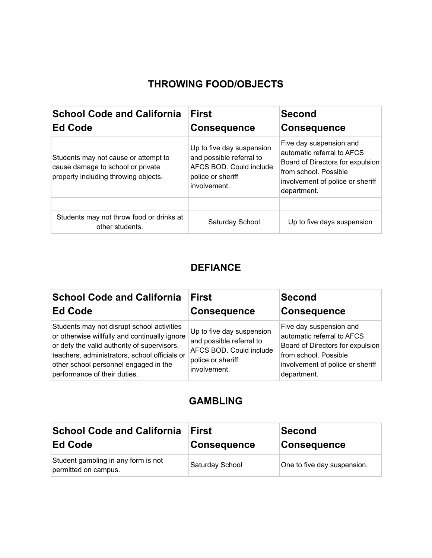## **THROWING FOOD/OBJECTS**

| <b>School Code and California</b><br><b>Ed Code</b>                                                               | <b>First</b><br><b>Consequence</b>                                                                                    | <b>Second</b><br><b>Consequence</b>                                                                                                                                   |
|-------------------------------------------------------------------------------------------------------------------|-----------------------------------------------------------------------------------------------------------------------|-----------------------------------------------------------------------------------------------------------------------------------------------------------------------|
| Students may not cause or attempt to<br>cause damage to school or private<br>property including throwing objects. | Up to five day suspension<br>and possible referral to<br>AFCS BOD, Could include<br>police or sheriff<br>involvement. | Five day suspension and<br>automatic referral to AFCS<br>Board of Directors for expulsion<br>from school. Possible<br>involvement of police or sheriff<br>department. |
| Students may not throw food or drinks at<br>other students.                                                       | Saturday School                                                                                                       | Up to five days suspension                                                                                                                                            |

## **DEFIANCE**

| <b>School Code and California</b>                                                                                                                                                                                                                                    | First                                                                                                                 | Second                                                                                                                                                                |
|----------------------------------------------------------------------------------------------------------------------------------------------------------------------------------------------------------------------------------------------------------------------|-----------------------------------------------------------------------------------------------------------------------|-----------------------------------------------------------------------------------------------------------------------------------------------------------------------|
| <b>Ed Code</b>                                                                                                                                                                                                                                                       | <b>Consequence</b>                                                                                                    | <b>Consequence</b>                                                                                                                                                    |
| Students may not disrupt school activities<br>or otherwise willfully and continually ignore<br>or defy the valid authority of supervisors,<br>teachers, administrators, school officials or<br>other school personnel engaged in the<br>performance of their duties. | Up to five day suspension<br>and possible referral to<br>AFCS BOD. Could include<br>police or sheriff<br>involvement. | Five day suspension and<br>automatic referral to AFCS<br>Board of Directors for expulsion<br>from school. Possible<br>involvement of police or sheriff<br>department. |

## **GAMBLING**

| <b>School Code and California</b>                           | <b>First</b>       | <b>Second</b>               |
|-------------------------------------------------------------|--------------------|-----------------------------|
| <b>Ed Code</b>                                              | <b>Consequence</b> | <b>Consequence</b>          |
| Student gambling in any form is not<br>permitted on campus. | Saturday School    | One to five day suspension. |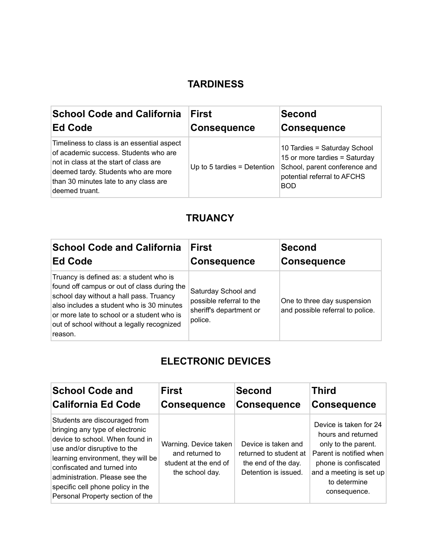## **TARDINESS**

| <b>School Code and California</b>                                                                                                                                                                                               | <b>First</b>                | Second                                                                                                                                      |
|---------------------------------------------------------------------------------------------------------------------------------------------------------------------------------------------------------------------------------|-----------------------------|---------------------------------------------------------------------------------------------------------------------------------------------|
| Ed Code                                                                                                                                                                                                                         | <b>Consequence</b>          | <b>Consequence</b>                                                                                                                          |
| Timeliness to class is an essential aspect<br>of academic success. Students who are<br>not in class at the start of class are<br>deemed tardy. Students who are more<br>than 30 minutes late to any class are<br>deemed truant. | Up to 5 tardies = Detention | 10 Tardies = Saturday School<br>15 or more tardies = Saturday<br>School, parent conference and<br>potential referral to AFCHS<br><b>BOD</b> |

## **TRUANCY**

| <b>School Code and California</b>                                                                                                                                                                                                                                                     | <b>First</b>                                                                          | Second                                                          |
|---------------------------------------------------------------------------------------------------------------------------------------------------------------------------------------------------------------------------------------------------------------------------------------|---------------------------------------------------------------------------------------|-----------------------------------------------------------------|
| <b>Ed Code</b>                                                                                                                                                                                                                                                                        | <b>Consequence</b>                                                                    | <b>Consequence</b>                                              |
| Truancy is defined as: a student who is<br>found off campus or out of class during the<br>school day without a hall pass. Truancy<br>also includes a student who is 30 minutes<br>or more late to school or a student who is<br>out of school without a legally recognized<br>reason. | Saturday School and<br>possible referral to the<br>sheriff's department or<br>police. | One to three day suspension<br>and possible referral to police. |

## **ELECTRONIC DEVICES**

| <b>School Code and</b>                                                                                                                                                                                                                                                                                              | <b>First</b>                                                                         | <b>Second</b>                                                                                | <b>Third</b>                                                                                                                                                                      |
|---------------------------------------------------------------------------------------------------------------------------------------------------------------------------------------------------------------------------------------------------------------------------------------------------------------------|--------------------------------------------------------------------------------------|----------------------------------------------------------------------------------------------|-----------------------------------------------------------------------------------------------------------------------------------------------------------------------------------|
| <b>California Ed Code</b>                                                                                                                                                                                                                                                                                           | <b>Consequence</b>                                                                   | <b>Consequence</b>                                                                           | <b>Consequence</b>                                                                                                                                                                |
| Students are discouraged from<br>bringing any type of electronic<br>device to school. When found in<br>use and/or disruptive to the<br>learning environment, they will be<br>confiscated and turned into<br>administration. Please see the<br>specific cell phone policy in the<br>Personal Property section of the | Warning. Device taken<br>and returned to<br>student at the end of<br>the school day. | Device is taken and<br>returned to student at<br>the end of the day.<br>Detention is issued. | Device is taken for 24<br>hours and returned<br>only to the parent.<br>Parent is notified when<br>phone is confiscated<br>and a meeting is set up<br>to determine<br>consequence. |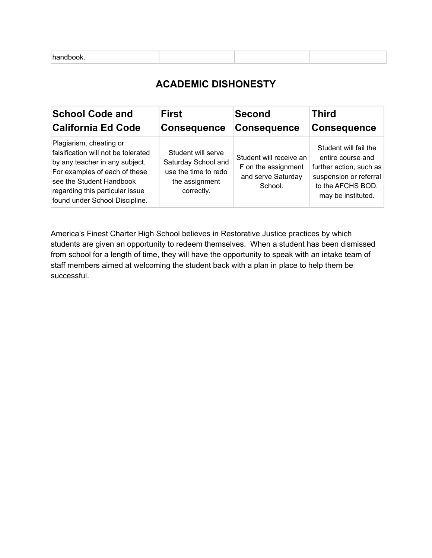| handbook. |
|-----------|
|-----------|

## **ACADEMIC DISHONESTY**

| <b>School Code and</b>                                                                                                                                                                                                             | <b>First</b>                                                                                      | <b>Second</b>                                                                   | <b>Third</b>                                                                                                                               |
|------------------------------------------------------------------------------------------------------------------------------------------------------------------------------------------------------------------------------------|---------------------------------------------------------------------------------------------------|---------------------------------------------------------------------------------|--------------------------------------------------------------------------------------------------------------------------------------------|
| <b>California Ed Code</b>                                                                                                                                                                                                          | <b>Consequence</b>                                                                                | <b>Consequence</b>                                                              | <b>Consequence</b>                                                                                                                         |
| Plagiarism, cheating or<br>falsification will not be tolerated<br>by any teacher in any subject.<br>For examples of each of these<br>see the Student Handbook<br>regarding this particular issue<br>found under School Discipline. | Student will serve<br>Saturday School and<br>use the time to redo<br>the assignment<br>correctly. | Student will receive an<br>F on the assignment<br>and serve Saturday<br>School. | Student will fail the<br>entire course and<br>further action, such as<br>suspension or referral<br>to the AFCHS BOD,<br>may be instituted. |

America's Finest Charter High School believes in Restorative Justice practices by which students are given an opportunity to redeem themselves. When a student has been dismissed from school for a length of time, they will have the opportunity to speak with an intake team of staff members aimed at welcoming the student back with a plan in place to help them be successful.